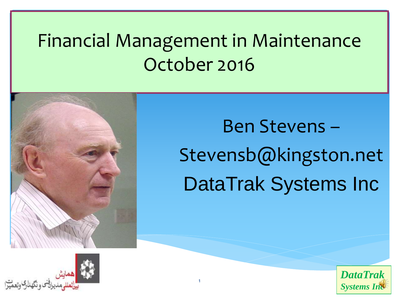## Financial Management in Maintenance October 2016



# Ben Stevens – Stevensb@kingston.net DataTrak Systems Inc



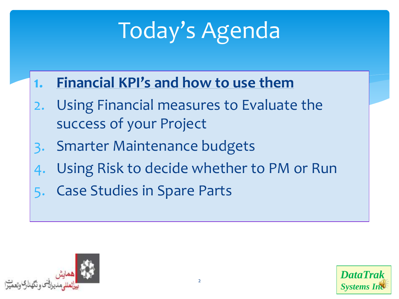# Today's Agenda

- **1. Financial KPI's and how to use them**
- 2. Using Financial measures to Evaluate the success of your Project
- 3. Smarter Maintenance budgets
- Using Risk to decide whether to PM or Run
- **Case Studies in Spare Parts**



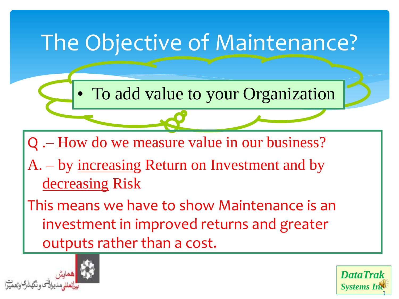

*Systems Inc*

3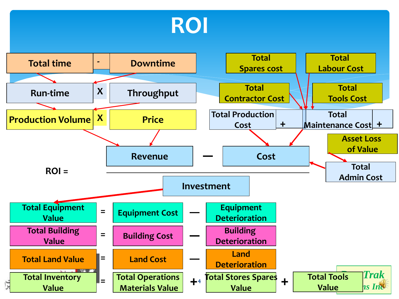

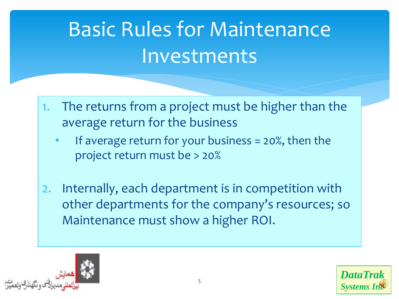# Basic Rules for Maintenance **Investments**

- 1. The returns from a project must be higher than the average return for the business
	- If average return for your business  $= 20\%$ , then the project return must be > 20%
- 2. Internally, each department is in competition with other departments for the company's resources; so Maintenance must show a higher ROI.



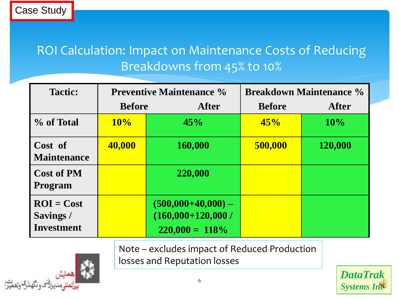#### ROI Calculation: Impact on Maintenance Costs of Reducing Breakdowns from 45% to 10%

| <b>Tactic:</b>                                 |               | <b>Preventive Maintenance %</b>                                  | <b>Breakdown Maintenance %</b> |              |  |
|------------------------------------------------|---------------|------------------------------------------------------------------|--------------------------------|--------------|--|
|                                                | <b>Before</b> | After                                                            | <b>Before</b>                  | <b>After</b> |  |
| % of Total                                     | 10%           | 45%                                                              | 45%                            | 10%          |  |
| Cost of<br><b>Maintenance</b>                  | 40,000        | 160,000                                                          | 500,000                        | 120,000      |  |
| <b>Cost of PM</b><br><b>Program</b>            |               | 220,000                                                          |                                |              |  |
| $ROI = Cost$<br>Savings /<br><b>Investment</b> |               | $(500,000+40,000) -$<br>$(160,000+120,000)$<br>$220,000 = 118\%$ |                                |              |  |

Note – excludes impact of Reduced Production

losses and Reputation losses



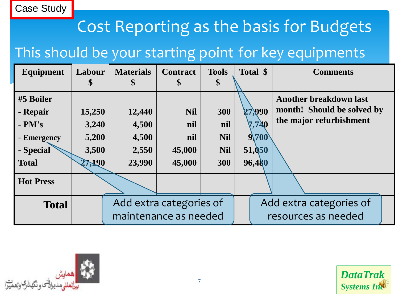#### Case Study

#### Cost Reporting as the basis for Budgets

#### This should be your starting point for key equipments

| <b>Equipment</b> | Labour | <b>Materials</b>        | <b>Contract</b> | <b>Tools</b> |                         | Total \$ | <b>Comments</b>               |
|------------------|--------|-------------------------|-----------------|--------------|-------------------------|----------|-------------------------------|
|                  | Φ      | \$                      | \$              | \$           |                         |          |                               |
| #5 Boiler        |        |                         |                 |              |                         |          | <b>Another breakdown last</b> |
| - Repair         | 15,250 | 12,440                  | <b>Nil</b>      | 300          |                         | 27,990   | month! Should be solved by    |
| $- PM's$         | 3,240  | 4,500                   | nil             | nil          |                         | 7,740    | the major refurbishment       |
| - Emergency      | 5,200  | 4,500                   | nil             | <b>Nil</b>   |                         | 9,700    |                               |
| - Special        | 3,500  | 2,550                   | 45,000          | <b>Nil</b>   |                         | 51,050   |                               |
| <b>Total</b>     | 27,190 | 23,990                  | 45,000          | 300          |                         | 96,480   |                               |
| <b>Hot Press</b> |        |                         |                 |              |                         |          |                               |
| <b>Total</b>     |        | Add extra categories of |                 |              | Add extra categories of |          |                               |
|                  |        | maintenance as needed   |                 |              |                         |          | resources as needed           |



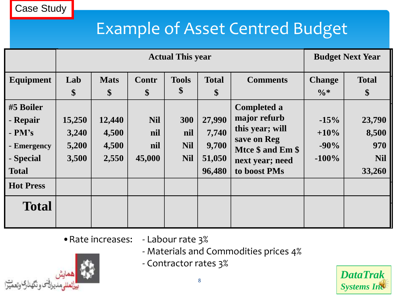#### Example of Asset Centred Budget

|                                                                               | <b>Actual This year</b>           |                                   |                                    |                                        |                                              |                                                                                                                              |                                        | <b>Budget Next Year</b>                        |  |
|-------------------------------------------------------------------------------|-----------------------------------|-----------------------------------|------------------------------------|----------------------------------------|----------------------------------------------|------------------------------------------------------------------------------------------------------------------------------|----------------------------------------|------------------------------------------------|--|
| Equipment                                                                     | Lab<br>\$                         | <b>Mats</b><br>\$                 | Contr<br>\$                        | <b>Tools</b><br>\$                     | <b>Total</b><br>$\boldsymbol{\$}$            | <b>Comments</b>                                                                                                              | <b>Change</b><br>$\frac{0}{6}$ *       | <b>Total</b><br>\$                             |  |
| #5 Boiler<br>- Repair<br>$- PM's$<br>- Emergency<br>- Special<br><b>Total</b> | 15,250<br>3,240<br>5,200<br>3,500 | 12,440<br>4,500<br>4,500<br>2,550 | <b>Nil</b><br>nil<br>nil<br>45,000 | 300<br>nil<br><b>Nil</b><br><b>Nil</b> | 27,990<br>7,740<br>9,700<br>51,050<br>96,480 | <b>Completed a</b><br>major refurb<br>this year; will<br>save on Reg<br>Mtce \$ and Em \$<br>next year; need<br>to boost PMs | $-15%$<br>$+10\%$<br>$-90%$<br>$-100%$ | 23,790<br>8,500<br>970<br><b>Nil</b><br>33,260 |  |
| <b>Hot Press</b><br><b>Total</b>                                              |                                   |                                   |                                    |                                        |                                              |                                                                                                                              |                                        |                                                |  |

•Rate increases: - Labour rate 3%

- Materials and Commodities prices 4%
- Contractor rates 3%

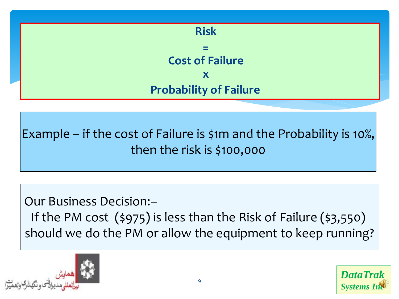

Example – if the cost of Failure is \$1m and the Probability is 10%, then the risk is \$100,000

Our Business Decision:–

If the PM cost (\$975) is less than the Risk of Failure (\$3,550) should we do the PM or allow the equipment to keep running?



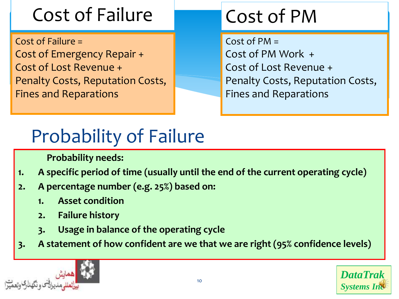# Cost of Failure

Cost of Failure = Cost of Emergency Repair + Cost of Lost Revenue + Penalty Costs, Reputation Costs, Fines and Reparations

## Cost of PM

 $Cost of PM =$ Cost of PM Work + Cost of Lost Revenue + Penalty Costs, Reputation Costs, Fines and Reparations

## Probability of Failure

 **Probability needs:**

- **1. A specific period of time (usually until the end of the current operating cycle)**
- **2. A percentage number (e.g. 25%) based on:** 
	- **1. Asset condition**
	- **2. Failure history**
	- **3. Usage in balance of the operating cycle**
- **3. A statement of how confident are we that we are right (95% confidence levels)**



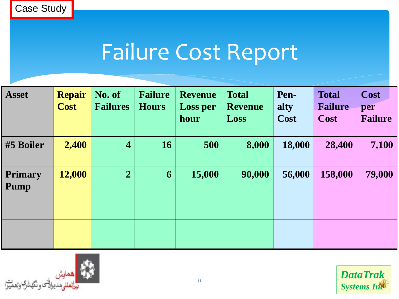# Failure Cost Report

| <b>Asset</b>           | <b>Repair</b><br><b>Cost</b> | No. of<br><b>Failures</b> | <b>Failure</b><br><b>Hours</b> | <b>Revenue</b><br><b>Loss per</b><br>hour | <b>Total</b><br><b>Revenue</b><br>Loss | Pen-<br>alty<br>Cost | <b>Total</b><br><b>Failure</b><br>Cost | Cost<br>per<br><b>Failure</b> |
|------------------------|------------------------------|---------------------------|--------------------------------|-------------------------------------------|----------------------------------------|----------------------|----------------------------------------|-------------------------------|
| #5 Boiler              | 2,400                        | $\overline{4}$            | <b>16</b>                      | 500                                       | 8,000                                  | 18,000               | 28,400                                 | 7,100                         |
| <b>Primary</b><br>Pump | 12,000                       | $\overline{2}$            | 6                              | 15,000                                    | 90,000                                 | 56,000               | 158,000                                | 79,000                        |
|                        |                              |                           |                                |                                           |                                        |                      |                                        |                               |



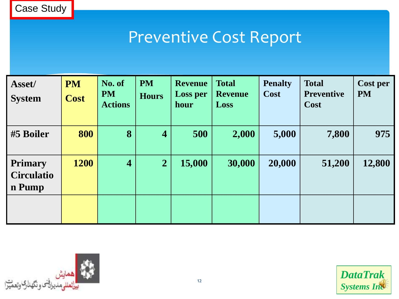#### Preventive Cost Report

| Asset/<br><b>System</b>                       | <b>PM</b><br><b>Cost</b> | No. of<br><b>PM</b><br><b>Actions</b> | <b>PM</b><br><b>Hours</b> | <b>Revenue</b><br><b>Loss per</b><br>hour | <b>Total</b><br><b>Revenue</b><br>Loss | <b>Penalty</b><br>Cost | <b>Total</b><br><b>Preventive</b><br>Cost | Cost per<br><b>PM</b> |
|-----------------------------------------------|--------------------------|---------------------------------------|---------------------------|-------------------------------------------|----------------------------------------|------------------------|-------------------------------------------|-----------------------|
| #5 Boiler                                     | 800                      | 8                                     | $\overline{\mathbf{4}}$   | 500                                       | 2,000                                  | 5,000                  | 7,800                                     | 975                   |
| <b>Primary</b><br><b>Circulatio</b><br>n Pump | 1200                     | $\overline{\mathbf{4}}$               | $\overline{2}$            | 15,000                                    | 30,000                                 | 20,000                 | 51,200                                    | 12,800                |
|                                               |                          |                                       |                           |                                           |                                        |                        |                                           |                       |

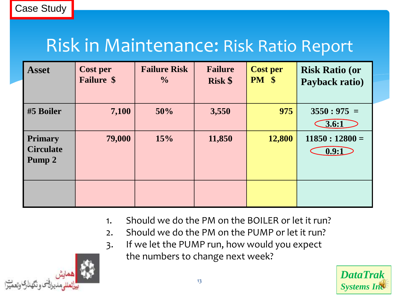#### Risk in Maintenance: Risk Ratio Report

| <b>Asset</b>                                 | <b>Cost per</b><br><b>Failure \$</b> | <b>Failure Risk</b><br>$\frac{0}{0}$ | <b>Failure</b><br><b>Risk \$</b> | <b>Cost per</b><br>$PM \$ | <b>Risk Ratio (or</b><br>Payback ratio) |
|----------------------------------------------|--------------------------------------|--------------------------------------|----------------------------------|---------------------------|-----------------------------------------|
| #5 Boiler                                    | 7,100                                | 50%                                  | 3,550                            | 975                       | $3550:975 =$<br>3.6:1                   |
| <b>Primary</b><br><b>Circulate</b><br>Pump 2 | 79,000                               | 15%                                  | 11,850                           | 12,800                    | $11850:12800=$<br>0.9:1                 |
|                                              |                                      |                                      |                                  |                           |                                         |

- 1. Should we do the PM on the BOILER or let it run?
- 2. Should we do the PM on the PUMP or let it run?
- 3. If we let the PUMP run, how would you expect

the numbers to change next week?



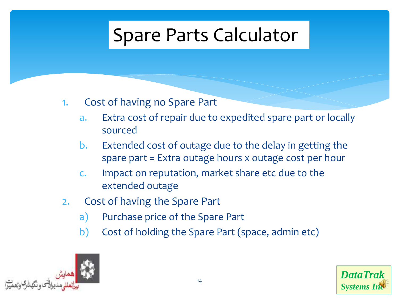### Spare Parts Calculator

#### 1. Cost of having no Spare Part

- a. Extra cost of repair due to expedited spare part or locally sourced
- b. Extended cost of outage due to the delay in getting the spare part = Extra outage hours x outage cost per hour
- c. Impact on reputation, market share etc due to the extended outage
- 2. Cost of having the Spare Part
	- a) Purchase price of the Spare Part
	- b) Cost of holding the Spare Part (space, admin etc)



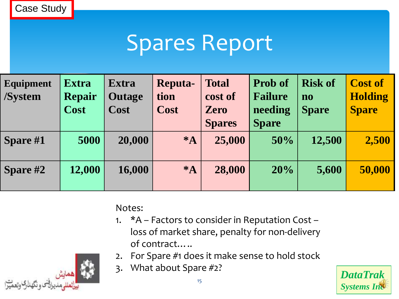Case Study

## Spares Report

| <b>Equipment</b><br><b>/System</b> | <b>Extra</b><br><b>Repair</b><br><b>Cost</b> | <b>Extra</b><br><b>Outage</b><br><b>Cost</b> | <b>Reputa-</b><br>tion<br><b>Cost</b> | <b>Total</b><br>cost of<br><b>Zero</b><br><b>Spares</b> | <b>Prob of</b><br><b>Failure</b><br>needing<br><b>Spare</b> | <b>Risk of</b><br>no<br><b>Spare</b> | <b>Cost of</b><br><b>Holding</b><br><b>Spare</b> |
|------------------------------------|----------------------------------------------|----------------------------------------------|---------------------------------------|---------------------------------------------------------|-------------------------------------------------------------|--------------------------------------|--------------------------------------------------|
| Spare #1                           | 5000                                         | 20,000                                       | $*_{\mathbf{A}}$                      | 25,000                                                  | 50%                                                         | 12,500                               | 2,500                                            |
| Spare #2                           | 12,000                                       | 16,000                                       | $*_{\mathbf{A}}$                      | 28,000                                                  | 20%                                                         | 5,600                                | 50,000                                           |

#### Notes:

- 1. \*A Factors to consider in Reputation Cost loss of market share, penalty for non-delivery of contract…..
- 2. For Spare #1 does it make sense to hold stock
- 3. What about Spare #2?

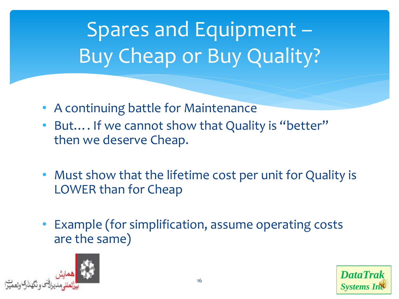# Spares and Equipment – Buy Cheap or Buy Quality?

- A continuing battle for Maintenance
- But.... If we cannot show that Quality is "better" then we deserve Cheap.
- Must show that the lifetime cost per unit for Quality is LOWER than for Cheap
- Example (for simplification, assume operating costs are the same)



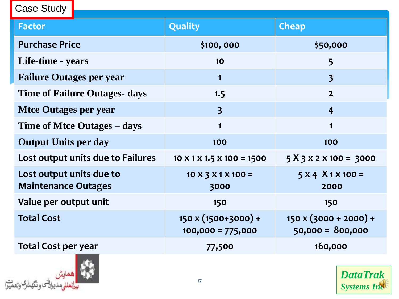| Case Study                                             |                                                   |                                                    |  |  |
|--------------------------------------------------------|---------------------------------------------------|----------------------------------------------------|--|--|
| <b>Factor</b>                                          | <b>Quality</b>                                    | <b>Cheap</b>                                       |  |  |
| <b>Purchase Price</b>                                  | \$100,000                                         | \$50,000                                           |  |  |
| Life-time - years                                      | 10                                                | 5                                                  |  |  |
| <b>Failure Outages per year</b>                        | $\mathbf 1$                                       | $\overline{\mathbf{3}}$                            |  |  |
| <b>Time of Failure Outages- days</b>                   | 1.5                                               | $\overline{2}$                                     |  |  |
| <b>Mice Outages per year</b>                           | $\overline{\mathbf{3}}$                           | $\overline{4}$                                     |  |  |
| Time of Mtce Outages - days                            | $\blacksquare$                                    | $\mathbf 1$                                        |  |  |
| <b>Output Units per day</b>                            | 100                                               | 100                                                |  |  |
| Lost output units due to Failures                      | $10 \times 1 \times 1.5 \times 100 = 1500$        | $5 X 3 X 2 X 100 = 3000$                           |  |  |
| Lost output units due to<br><b>Maintenance Outages</b> | $10 \times 3 \times 1 \times 100 =$<br>3000       | $5 x 4 X 1 x 100 =$<br>2000                        |  |  |
| Value per output unit                                  | 150                                               | 150                                                |  |  |
| <b>Total Cost</b>                                      | $150 \times (1500+3000) +$<br>$100,000 = 775,000$ | $150 \times (3000 + 2000) +$<br>$50,000 = 800,000$ |  |  |
| <b>Total Cost per year</b>                             | 77,500                                            | 160,000                                            |  |  |



Т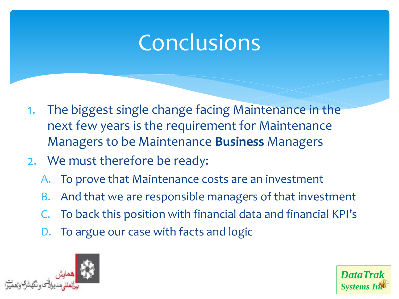# **Conclusions**

- 1. The biggest single change facing Maintenance in the next few years is the requirement for Maintenance Managers to be Maintenance **Business** Managers
- 2. We must therefore be ready:
	- A. To prove that Maintenance costs are an investment
	- B. And that we are responsible managers of that investment
	- To back this position with financial data and financial KPI's
	- To argue our case with facts and logic